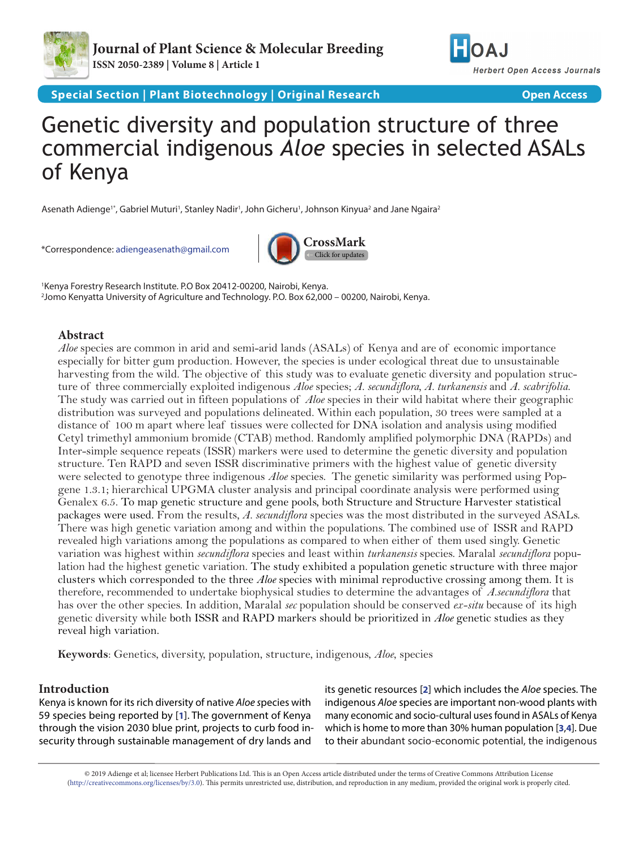



**Special Section | Plant Biotechnology | Original Research | National Section Access** 

# Genetic diversity and population structure of three commercial indigenous *Aloe* species in selected ASALs of Kenya

Asenath Adienge'\*, Gabriel Muturi', Stanley Nadir', John Gicheru', Johnson Kinyua<sup>2</sup> and Jane Ngaira<sup>2</sup>

\*Correspondence: [adiengeasenath@gmail.com](mailto:adiengeasenath%40gmail.com?subject=)



1 Kenya Forestry Research Institute. P.O Box 20412-00200, Nairobi, Kenya. 2 Jomo Kenyatta University of Agriculture and Technology. P.O. Box 62,000 – 00200, Nairobi, Kenya.

## **Abstract**

*Aloe* species are common in arid and semi-arid lands (ASALs) of Kenya and are of economic importance especially for bitter gum production. However, the species is under ecological threat due to unsustainable harvesting from the wild. The objective of this study was to evaluate genetic diversity and population structure of three commercially exploited indigenous *Aloe* species; *A. secundiflora, A. turkanensis* and *A. scabrifolia*. The study was carried out in fifteen populations of *Aloe* species in their wild habitat where their geographic distribution was surveyed and populations delineated. Within each population, 30 trees were sampled at a distance of 100 m apart where leaf tissues were collected for DNA isolation and analysis using modified Cetyl trimethyl ammonium bromide (CTAB) method. Randomly amplified polymorphic DNA (RAPDs) and Inter-simple sequence repeats (ISSR) markers were used to determine the genetic diversity and population structure. Ten RAPD and seven ISSR discriminative primers with the highest value of genetic diversity were selected to genotype three indigenous *Aloe* species. The genetic similarity was performed using Popgene 1.3.1; hierarchical UPGMA cluster analysis and principal coordinate analysis were performed using Genalex 6.5. To map genetic structure and gene pools, both Structure and Structure Harvester statistical packages were used. From the results*, A. secundiflora* species was the most distributed in the surveyed ASALs. There was high genetic variation among and within the populations. The combined use of ISSR and RAPD revealed high variations among the populations as compared to when either of them used singly. Genetic variation was highest within *secundiflora* species and least within *turkanensis* species. Maralal *secundiflora* population had the highest genetic variation. The study exhibited a population genetic structure with three major clusters which corresponded to the three *Aloe* species with minimal reproductive crossing among them. It is therefore, recommended to undertake biophysical studies to determine the advantages of *A.secundiflora* that has over the other species. In addition, Maralal *sec* population should be conserved *ex-situ* because of its high genetic diversity while both ISSR and RAPD markers should be prioritized in *Aloe* genetic studies as they reveal high variation.

**Keywords**: Genetics, diversity, population, structure, indigenous, *Aloe*, species

## **Introduction**

Kenya is known for its rich diversity of native *Aloe s*pecies with 59 species being reported by [**[1](#page-8-0)**]. The government of Kenya through the vision 2030 blue print, projects to curb food insecurity through sustainable management of dry lands and

its genetic resources [**[2](#page-8-1)**] which includes the *Aloe* species. The indigenous *Aloe* species are important non-wood plants with many economic and socio-cultural uses found in ASALs of Kenya which is home to more than 30% human population [**[3](#page-8-2)**,**[4](#page-8-3)**]. Due to their abundant socio-economic potential, the indigenous

© 2019 Adienge et al; licensee Herbert Publications Ltd. This is an Open Access article distributed under the terms of Creative Commons Attribution License [\(http://creativecommons.org/licenses/by/3.0\)](http://creativecommons.org/licenses/by/3.0). This permits unrestricted use, distribution, and reproduction in any medium, provided the original work is properly cited.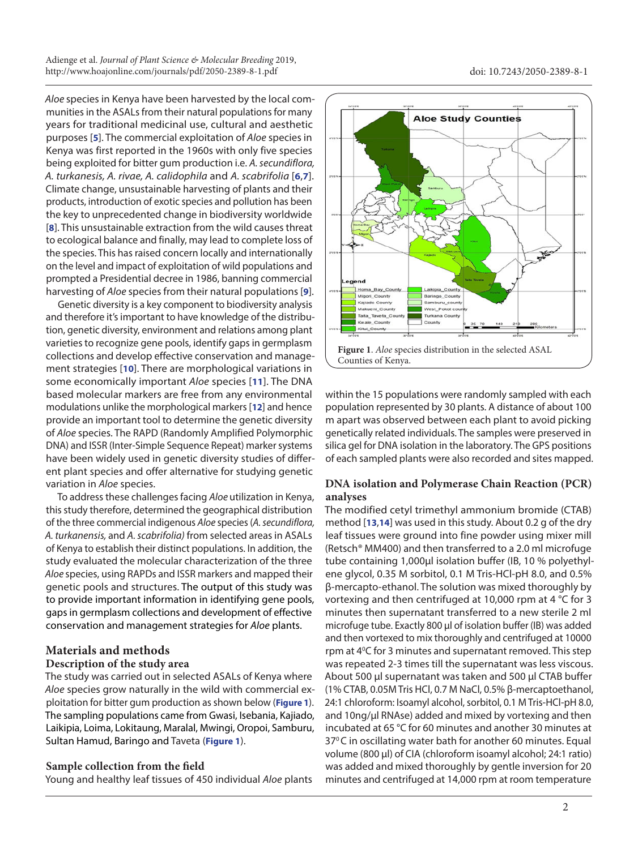*Aloe* species in Kenya have been harvested by the local communities in the ASALs from their natural populations for many years for traditional medicinal use, cultural and aesthetic purposes [**[5](#page-8-4)**]. The commercial exploitation of *Aloe* species in Kenya was first reported in the 1960s with only five species being exploited for bitter gum production i.e. *A. secundiflora, A. turkanesis, A. rivae, A. calidophila* and *A. scabrifolia* [**[6](#page-8-5)**,**[7](#page-8-6)**]. Climate change, unsustainable harvesting of plants and their products, introduction of exotic species and pollution has been the key to unprecedented change in biodiversity worldwide [**[8](#page-8-7)**]. This unsustainable extraction from the wild causes threat to ecological balance and finally, may lead to complete loss of the species. This has raised concern locally and internationally on the level and impact of exploitation of wild populations and prompted a Presidential decree in 1986, banning commercial harvesting of *Aloe* species from their natural populations [**[9](#page-8-8)**].

Genetic diversity is a key component to biodiversity analysis and therefore it's important to have knowledge of the distribution, genetic diversity, environment and relations among plant varieties to recognize gene pools, identify gaps in germplasm collections and develop effective conservation and management strategies [**[10](#page-8-9)**]. There are morphological variations in some economically important *Aloe* species [**[11](#page-8-10)**]. The DNA based molecular markers are free from any environmental modulations unlike the morphological markers [**[12](#page-8-11)**] and hence provide an important tool to determine the genetic diversity of *Aloe* species. The RAPD (Randomly Amplified Polymorphic DNA) and ISSR (Inter-Simple Sequence Repeat) marker systems have been widely used in genetic diversity studies of different plant species and offer alternative for studying genetic variation in *Aloe* species.

To address these challenges facing *Aloe* utilization in Kenya, this study therefore, determined the geographical distribution of the three commercial indigenous *Aloe* species (*A. secundiflora, A. turkanensis,* and *A. scabrifolia)* from selected areas in ASALs of Kenya to establish their distinct populations. In addition, the study evaluated the molecular characterization of the three *Aloe* species, using RAPDs and ISSR markers and mapped their genetic pools and structures. The output of this study was to provide important information in identifying gene pools, gaps in germplasm collections and development of effective conservation and management strategies for *Aloe* plants.

# **Materials and methods Description of the study area**

The study was carried out in selected ASALs of Kenya where *Aloe* species grow naturally in the wild with commercial exploitation for bitter gum production as shown below (**Figure 1**). The sampling populations came from Gwasi, Isebania, Kajiado, Laikipia, Loima, Lokitaung, Maralal, Mwingi, Oropoi, Samburu, Sultan Hamud, Baringo and Taveta (**Figure 1**).

## **Sample collection from the field**

Young and healthy leaf tissues of 450 individual *Aloe* plants



within the 15 populations were randomly sampled with each population represented by 30 plants. A distance of about 100 m apart was observed between each plant to avoid picking genetically related individuals. The samples were preserved in silica gel for DNA isolation in the laboratory. The GPS positions of each sampled plants were also recorded and sites mapped.

## **DNA isolation and Polymerase Chain Reaction (PCR) analyses**

The modified cetyl trimethyl ammonium bromide (CTAB) method [**[13](#page-8-12)**,**[14](#page-8-13)**] was used in this study. About 0.2 g of the dry leaf tissues were ground into fine powder using mixer mill (Retsch® MM400) and then transferred to a 2.0 ml microfuge tube containing 1,000μl isolation buffer (IB, 10 % polyethylene glycol, 0.35 M sorbitol, 0.1 M Tris-HCl-pH 8.0, and 0.5% β-mercapto-ethanol. The solution was mixed thoroughly by vortexing and then centrifuged at 10,000 rpm at 4 °C for 3 minutes then supernatant transferred to a new sterile 2 ml microfuge tube. Exactly 800 μl of isolation buffer (IB) was added and then vortexed to mix thoroughly and centrifuged at 10000 rpm at 4<sup>o</sup>C for 3 minutes and supernatant removed. This step was repeated 2-3 times till the supernatant was less viscous. About 500 μl supernatant was taken and 500 μl CTAB buffer (1% CTAB, 0.05M Tris HCl, 0.7 M NaCl, 0.5% β-mercaptoethanol, 24:1 chloroform: Isoamyl alcohol, sorbitol, 0.1 M Tris-HCl-pH 8.0, and 10ng/μl RNAse) added and mixed by vortexing and then incubated at 65 °C for 60 minutes and another 30 minutes at 37°C in oscillating water bath for another 60 minutes. Equal volume (800 μl) of CIA (chloroform isoamyl alcohol; 24:1 ratio) was added and mixed thoroughly by gentle inversion for 20 minutes and centrifuged at 14,000 rpm at room temperature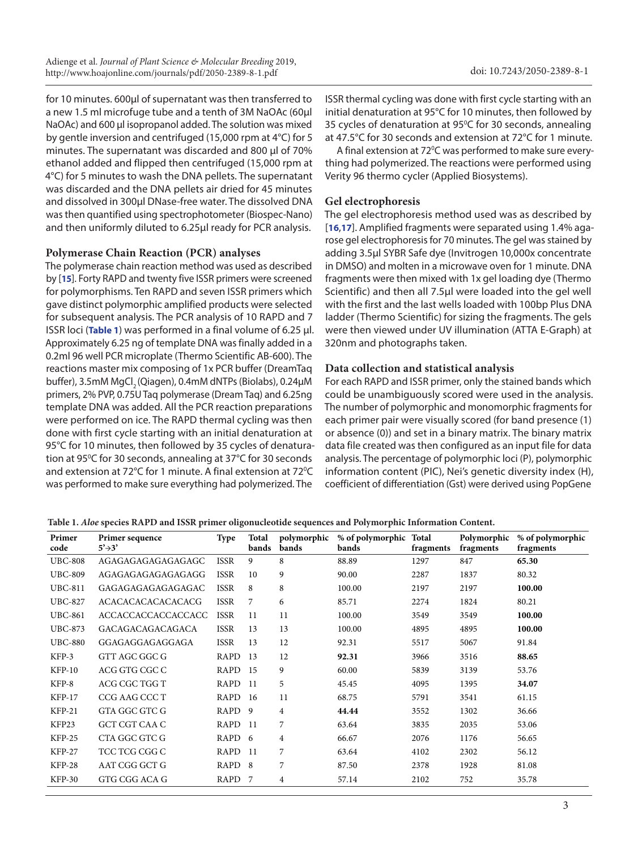<span id="page-2-0"></span>for 10 minutes. 600μl of supernatant was then transferred to a new 1.5 ml microfuge tube and a tenth of 3M NaOAc (60μl NaOAc) and 600 μl isopropanol added. The solution was mixed by gentle inversion and centrifuged (15,000 rpm at 4°C) for 5 minutes. The supernatant was discarded and 800 μl of 70% ethanol added and flipped then centrifuged (15,000 rpm at 4°C) for 5 minutes to wash the DNA pellets. The supernatant was discarded and the DNA pellets air dried for 45 minutes and dissolved in 300μl DNase-free water. The dissolved DNA was then quantified using spectrophotometer (Biospec-Nano) and then uniformly diluted to 6.25μl ready for PCR analysis.

## **Polymerase Chain Reaction (PCR) analyses**

The polymerase chain reaction method was used as described by [**[15](#page-8-14)**]. Forty RAPD and twenty five ISSR primers were screened for polymorphisms. Ten RAPD and seven ISSR primers which gave distinct polymorphic amplified products were selected for subsequent analysis. The PCR analysis of 10 RAPD and 7 ISSR loci (**Table 1**) was performed in a final volume of 6.25 μl. Approximately 6.25 ng of template DNA was finally added in a 0.2ml 96 well PCR microplate (Thermo Scientific AB-600). The reactions master mix composing of 1x PCR buffer (DreamTaq buffer), 3.5mM MgCl<sub>3</sub> (Qiagen), 0.4mM dNTPs (Biolabs), 0.24µM primers, 2% PVP, 0.75U Taq polymerase (Dream Taq) and 6.25ng template DNA was added. All the PCR reaction preparations were performed on ice. The RAPD thermal cycling was then done with first cycle starting with an initial denaturation at 95°C for 10 minutes, then followed by 35 cycles of denaturation at 95°C for 30 seconds, annealing at 37°C for 30 seconds and extension at 72°C for 1 minute. A final extension at 72°C was performed to make sure everything had polymerized. The

ISSR thermal cycling was done with first cycle starting with an initial denaturation at 95°C for 10 minutes, then followed by 35 cycles of denaturation at 95°C for 30 seconds, annealing at 47.5°C for 30 seconds and extension at 72°C for 1 minute.

A final extension at 72°C was performed to make sure everything had polymerized. The reactions were performed using Verity 96 thermo cycler (Applied Biosystems).

## **Gel electrophoresis**

The gel electrophoresis method used was as described by [**[16](#page-9-0)**,**[17](#page-9-1)**]. Amplified fragments were separated using 1.4% agarose gel electrophoresis for 70 minutes. The gel was stained by adding 3.5µl SYBR Safe dye (Invitrogen 10,000x concentrate in DMSO) and molten in a microwave oven for 1 minute. DNA fragments were then mixed with 1x gel loading dye (Thermo Scientific) and then all 7.5µl were loaded into the gel well with the first and the last wells loaded with 100bp Plus DNA ladder (Thermo Scientific) for sizing the fragments. The gels were then viewed under UV illumination (ATTA E-Graph) at 320nm and photographs taken.

## **Data collection and statistical analysis**

For each RAPD and ISSR primer, only the stained bands which could be unambiguously scored were used in the analysis. The number of polymorphic and monomorphic fragments for each primer pair were visually scored (for band presence (1) or absence (0)) and set in a binary matrix. The binary matrix data file created was then configured as an input file for data analysis. The percentage of polymorphic loci (P), polymorphic information content (PIC), Nei's genetic diversity index (H), coefficient of differentiation (Gst) were derived using PopGene

**Table 1.** *Aloe* **species RAPD and ISSR primer oligonucleotide sequences and Polymorphic Information Content.**

| Primer<br>code | Primer sequence<br>$5' \rightarrow 3'$ | <b>Type</b>       | Total<br>bands | polymorphic<br>bands | % of polymorphic Total<br>bands | fragments | Polymorphic<br>fragments | % of polymorphic<br>fragments |
|----------------|----------------------------------------|-------------------|----------------|----------------------|---------------------------------|-----------|--------------------------|-------------------------------|
| <b>UBC-808</b> | AGAGAGAGAGAGAGAGC                      | <b>ISSR</b>       | 9              | 8                    | 88.89                           | 1297      | 847                      | 65.30                         |
| <b>UBC-809</b> | AGAGAGAGAGAGAGAGG                      | <b>ISSR</b>       | 10             | 9                    | 90.00                           | 2287      | 1837                     | 80.32                         |
| <b>UBC-811</b> | GAGAGAGAGAGAGAGAC                      | <b>ISSR</b>       | 8              | 8                    | 100.00                          | 2197      | 2197                     | 100.00                        |
| <b>UBC-827</b> | <b>ACACACACACACACACG</b>               | <b>ISSR</b>       | 7              | 6                    | 85.71                           | 2274      | 1824                     | 80.21                         |
| <b>UBC-861</b> | ACCACCACCACCACCACC                     | <b>ISSR</b>       | 11             | 11                   | 100.00                          | 3549      | 3549                     | 100.00                        |
| <b>UBC-873</b> | GACAGACAGACAGACA                       | <b>ISSR</b>       | 13             | 13                   | 100.00                          | 4895      | 4895                     | 100.00                        |
| <b>UBC-880</b> | GGAGAGGAGAGGAGA                        | <b>ISSR</b>       | 13             | 12                   | 92.31                           | 5517      | 5067                     | 91.84                         |
| KFP-3          | GTT AGC GGC G                          | RAPD              | 13             | 12                   | 92.31                           | 3966      | 3516                     | 88.65                         |
| $KFP-10$       | ACG GTG CGC C                          | RAPD              | 15             | 9                    | 60.00                           | 5839      | 3139                     | 53.76                         |
| $KFP-8$        | ACG CGC TGG T                          | RAPD              | -11            | 5                    | 45.45                           | 4095      | 1395                     | 34.07                         |
| <b>KFP-17</b>  | CCG AAG CCC T                          | RAPD              | -16            | 11                   | 68.75                           | 5791      | 3541                     | 61.15                         |
| $KFP-21$       | GTA GGC GTC G                          | RAPD              | -9             | 4                    | 44.44                           | 3552      | 1302                     | 36.66                         |
| KFP23          | <b>GCT CGT CAA C</b>                   | RAPD              | -11            | 7                    | 63.64                           | 3835      | 2035                     | 53.06                         |
| $KFP-25$       | CTA GGC GTC G                          | RAPD 6            |                | 4                    | 66.67                           | 2076      | 1176                     | 56.65                         |
| KFP-27         | TCC TCG CGG C                          | RAPD              | -11            | 7                    | 63.64                           | 4102      | 2302                     | 56.12                         |
| KFP-28         | AAT CGG GCT G                          | RAPD <sub>8</sub> |                | 7                    | 87.50                           | 2378      | 1928                     | 81.08                         |
| <b>KFP-30</b>  | GTG CGG ACA G                          | RAPD              | 7              | 4                    | 57.14                           | 2102      | 752                      | 35.78                         |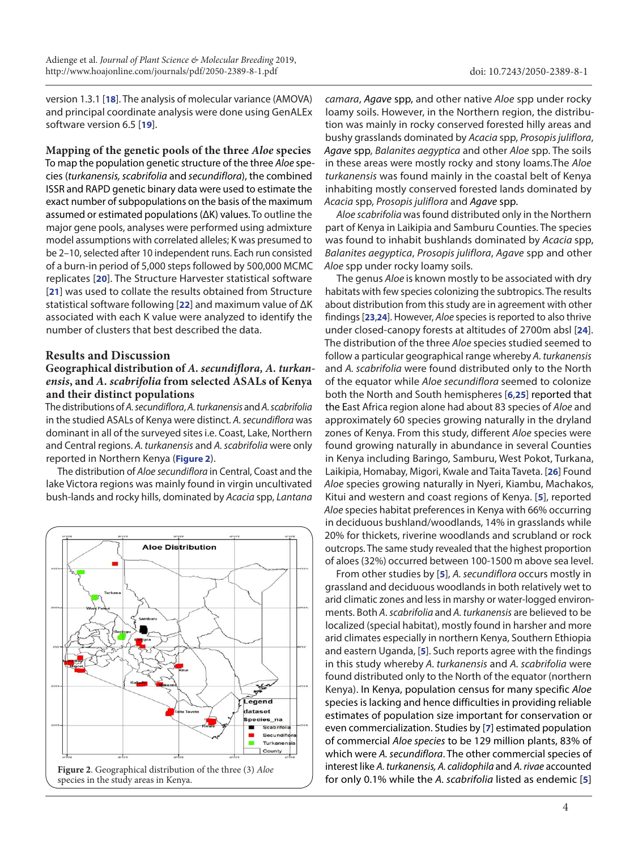version 1.3.1 [**[18](#page-9-2)**]. The analysis of molecular variance (AMOVA) and principal coordinate analysis were done using GenALEx software version 6.5 [**[19](#page-9-3)**].

**Mapping of the genetic pools of the three** *Aloe* **species** To map the population genetic structure of the three *Aloe* species (*turkanensis, scabrifolia* and *secundiflora*), the combined ISSR and RAPD genetic binary data were used to estimate the exact number of subpopulations on the basis of the maximum assumed or estimated populations (ΔK) values. To outline the major gene pools, analyses were performed using admixture model assumptions with correlated alleles; K was presumed to be 2–10, selected after 10 independent runs. Each run consisted of a burn-in period of 5,000 steps followed by 500,000 MCMC replicates [**[20](#page-9-4)**]. The Structure Harvester statistical software [**[21](#page-9-5)**] was used to collate the results obtained from Structure statistical software following [**[22](#page-9-6)**] and maximum value of ΔK associated with each K value were analyzed to identify the number of clusters that best described the data.

## **Results and Discussion**

## **Geographical distribution of** *A. secundiflora, A. turkanensis***, and** *A. scabrifolia* **from selected ASALs of Kenya and their distinct populations**

The distributions of *A. secundiflora*, *A. turkanensis* and *A. scabrifolia* in the studied ASALs of Kenya were distinct. *A. secundiflora* was dominant in all of the surveyed sites i.e. Coast, Lake, Northern and Central regions. *A. turkanensis* and *A. scabrifolia* were only reported in Northern Kenya (**Figure 2**).

The distribution of *Aloe secundiflora* in Central, Coast and the lake Victora regions was mainly found in virgin uncultivated bush-lands and rocky hills, dominated by *Acacia* spp, *Lantana* 



*camara*, *Agave* spp, and other native *Aloe* spp under rocky loamy soils. However, in the Northern region, the distribution was mainly in rocky conserved forested hilly areas and bushy grasslands dominated by *Acacia* spp, *Prosopis juliflora*, *Agave* spp, *Balanites aegyptica* and other *Aloe* spp. The soils in these areas were mostly rocky and stony loams.The *Aloe turkanensis* was found mainly in the coastal belt of Kenya inhabiting mostly conserved forested lands dominated by *Acacia* spp, *Prosopis juliflora* and *Agave* spp.

*Aloe scabrifolia* was found distributed only in the Northern part of Kenya in Laikipia and Samburu Counties. The species was found to inhabit bushlands dominated by *Acacia* spp, *Balanites aegyptica*, *Prosopis juliflora*, *Agave* spp and other *Aloe* spp under rocky loamy soils.

The genus *Aloe* is known mostly to be associated with dry habitats with few species colonizing the subtropics. The results about distribution from this study are in agreement with other findings [**[23](#page-9-7)**,**[24](#page-9-8)**]. However, *Aloe* species is reported to also thrive under closed-canopy forests at altitudes of 2700m absl [**[24](#page-9-8)**]. The distribution of the three *Aloe* species studied seemed to follow a particular geographical range whereby *A. turkanensis* and *A. scabrifolia* were found distributed only to the North of the equator while *Aloe secundiflora* seemed to colonize both the North and South hemispheres [**[6](#page-8-5)**,**[25](#page-9-9)**] reported that the East Africa region alone had about 83 species of *Aloe* and approximately 60 species growing naturally in the dryland zones of Kenya. From this study, different *Aloe* species were found growing naturally in abundance in several Counties in Kenya including Baringo, Samburu, West Pokot, Turkana, Laikipia, Homabay, Migori, Kwale and Taita Taveta. [**[26](#page-9-10)**] Found *Aloe* species growing naturally in Nyeri, Kiambu, Machakos, Kitui and western and coast regions of Kenya. [**[5](#page-8-4)**], reported *Aloe* species habitat preferences in Kenya with 66% occurring in deciduous bushland/woodlands, 14% in grasslands while 20% for thickets, riverine woodlands and scrubland or rock outcrops. The same study revealed that the highest proportion of aloes (32%) occurred between 100-1500 m above sea level.

 From other studies by [**[5](#page-8-4)**], *A. secundiflora* occurs mostly in grassland and deciduous woodlands in both relatively wet to arid climatic zones and less in marshy or water-logged environments. Both *A*. *scabrifolia* and *A. turkanensis* are believed to be localized (special habitat), mostly found in harsher and more arid climates especially in northern Kenya, Southern Ethiopia and eastern Uganda, [**[5](#page-8-4)**]. Such reports agree with the findings in this study whereby *A. turkanensis* and *A. scabrifolia* were found distributed only to the North of the equator (northern Kenya). In Kenya, population census for many specific *Aloe*  species is lacking and hence difficulties in providing reliable estimates of population size important for conservation or even commercialization. Studies by [**[7](#page-8-6)**] estimated population of commercial *Aloe species* to be 129 million plants, 83% of which were *A. secundiflora*. The other commercial species of interest like *A. turkanensis, A. calidophila* and *A. rivae* accounted for only 0.1% while the *A. scabrifolia* listed as endemic [**[5](#page-8-4)**]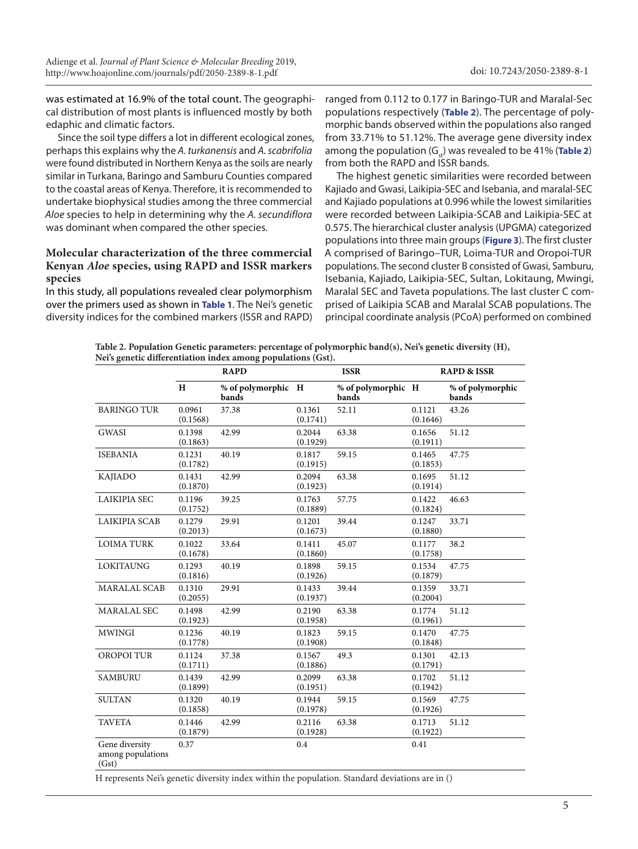was estimated at 16.9% of the total count. The geographical distribution of most plants is influenced mostly by both edaphic and climatic factors.

Since the soil type differs a lot in different ecological zones, perhaps this explains why the *A. turkanensis* and *A. scabrifolia*  were found distributed in Northern Kenya as the soils are nearly similar in Turkana, Baringo and Samburu Counties compared to the coastal areas of Kenya. Therefore, it is recommended to undertake biophysical studies among the three commercial *Aloe* species to help in determining why the *A. secundiflora* was dominant when compared the other species.

### **Molecular characterization of the three commercial Kenyan** *Aloe* **species, using RAPD and ISSR markers species**

In this study, all populations revealed clear polymorphism over the primers used as shown in **[Table 1](#page-2-0)**. The Nei's genetic diversity indices for the combined markers (ISSR and RAPD)

ranged from 0.112 to 0.177 in Baringo-TUR and Maralal-Sec populations respectively (**Table 2**). The percentage of polymorphic bands observed within the populations also ranged from 33.71% to 51.12%. The average gene diversity index among the population  $(G_n)$  was revealed to be 41% (**Table 2**) from both the RAPD and ISSR bands.

The highest genetic similarities were recorded between Kajiado and Gwasi, Laikipia-SEC and Isebania, and maralal-SEC and Kajiado populations at 0.996 while the lowest similarities were recorded between Laikipia-SCAB and Laikipia-SEC at 0.575. The hierarchical cluster analysis (UPGMA) categorized populations into three main groups (**[Figure 3](#page-5-0)**). The first cluster A comprised of Baringo–TUR, Loima-TUR and Oropoi-TUR populations. The second cluster B consisted of Gwasi, Samburu, Isebania, Kajiado, Laikipia-SEC, Sultan, Lokitaung, Mwingi, Maralal SEC and Taveta populations. The last cluster C comprised of Laikipia SCAB and Maralal SCAB populations. The principal coordinate analysis (PCoA) performed on combined

**Table 2. Population Genetic parameters: percentage of polymorphic band(s), Nei's genetic diversity (H), Nei's genetic differentiation index among populations (Gst).**

|                                              |                    | <b>RAPD</b>                 |                    | <b>ISSR</b>                 | <b>RAPD &amp; ISSR</b> |                           |  |
|----------------------------------------------|--------------------|-----------------------------|--------------------|-----------------------------|------------------------|---------------------------|--|
|                                              | H                  | % of polymorphic H<br>bands |                    | % of polymorphic H<br>bands |                        | % of polymorphic<br>bands |  |
| <b>BARINGO TUR</b>                           | 0.0961<br>(0.1568) | 37.38                       | 0.1361<br>(0.1741) | 52.11                       | 0.1121<br>(0.1646)     | 43.26                     |  |
| <b>GWASI</b>                                 | 0.1398<br>(0.1863) | 42.99                       | 0.2044<br>(0.1929) | 63.38                       | 0.1656<br>(0.1911)     | 51.12                     |  |
| <b>ISEBANIA</b>                              | 0.1231<br>(0.1782) | 40.19                       | 0.1817<br>(0.1915) | 59.15                       | 0.1465<br>(0.1853)     | 47.75                     |  |
| <b>KAJIADO</b>                               | 0.1431<br>(0.1870) | 42.99                       | 0.2094<br>(0.1923) | 63.38                       | 0.1695<br>(0.1914)     | 51.12                     |  |
| <b>LAIKIPIA SEC</b>                          | 0.1196<br>(0.1752) | 39.25                       | 0.1763<br>(0.1889) | 57.75                       | 0.1422<br>(0.1824)     | 46.63                     |  |
| <b>LAIKIPIA SCAB</b>                         | 0.1279<br>(0.2013) | 29.91                       | 0.1201<br>(0.1673) | 39.44                       | 0.1247<br>(0.1880)     | 33.71                     |  |
| <b>LOIMA TURK</b>                            | 0.1022<br>(0.1678) | 33.64                       | 0.1411<br>(0.1860) | 45.07                       | 0.1177<br>(0.1758)     | 38.2                      |  |
| <b>LOKITAUNG</b>                             | 0.1293<br>(0.1816) | 40.19                       | 0.1898<br>(0.1926) | 59.15                       | 0.1534<br>(0.1879)     | 47.75                     |  |
| <b>MARALAL SCAB</b>                          | 0.1310<br>(0.2055) | 29.91                       | 0.1433<br>(0.1937) | 39.44                       | 0.1359<br>(0.2004)     | 33.71                     |  |
| MARALAL SEC                                  | 0.1498<br>(0.1923) | 42.99                       | 0.2190<br>(0.1958) | 63.38                       | 0.1774<br>(0.1961)     | 51.12                     |  |
| <b>MWINGI</b>                                | 0.1236<br>(0.1778) | 40.19                       | 0.1823<br>(0.1908) | 59.15                       | 0.1470<br>(0.1848)     | 47.75                     |  |
| <b>OROPOI TUR</b>                            | 0.1124<br>(0.1711) | 37.38                       | 0.1567<br>(0.1886) | 49.3                        | 0.1301<br>(0.1791)     | 42.13                     |  |
| <b>SAMBURU</b>                               | 0.1439<br>(0.1899) | 42.99                       | 0.2099<br>(0.1951) | 63.38                       | 0.1702<br>(0.1942)     | 51.12                     |  |
| <b>SULTAN</b>                                | 0.1320<br>(0.1858) | 40.19                       | 0.1944<br>(0.1978) | 59.15                       | 0.1569<br>(0.1926)     | 47.75                     |  |
| <b>TAVETA</b>                                | 0.1446<br>(0.1879) | 42.99                       | 0.2116<br>(0.1928) | 63.38                       | 0.1713<br>(0.1922)     | 51.12                     |  |
| Gene diversity<br>among populations<br>(Gst) | 0.37               |                             | 0.4                |                             | 0.41                   |                           |  |

H represents Nei's genetic diversity index within the population. Standard deviations are in ()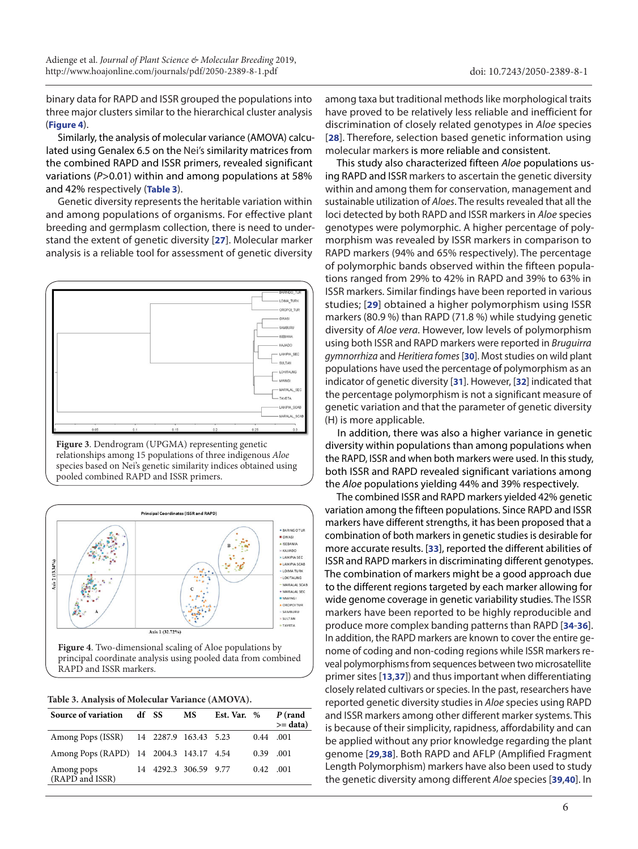<span id="page-5-0"></span>binary data for RAPD and ISSR grouped the populations into three major clusters similar to the hierarchical cluster analysis (**Figure 4**).

Similarly, the analysis of molecular variance (AMOVA) calculated using Genalex 6.5 on the Nei's similarity matrices from the combined RAPD and ISSR primers, revealed significant variations (*P*>0.01) within and among populations at 58% and 42% respectively (**Table 3**).

Genetic diversity represents the heritable variation within and among populations of organisms. For effective plant breeding and germplasm collection, there is need to understand the extent of genetic diversity [**[27](#page-9-11)**]. Molecular marker analysis is a reliable tool for assessment of genetic diversity



**Figure 3**. Dendrogram (UPGMA) representing genetic relationships among 15 populations of three indigenous *Aloe* species based on Nei's genetic similarity indices obtained using pooled combined RAPD and ISSR primers.



**Figure 4**. Two-dimensional scaling of Aloe populations by principal coordinate analysis using pooled data from combined RAPD and ISSR markers.

| Table 3. Analysis of Molecular Variance (AMOVA). |  |  |  |  |  |
|--------------------------------------------------|--|--|--|--|--|
|--------------------------------------------------|--|--|--|--|--|

| Source of variation df SS               |  | MS                    | Est. Var. % |                   | P (rand<br>$>=$ data) |
|-----------------------------------------|--|-----------------------|-------------|-------------------|-----------------------|
| Among Pops (ISSR) 14 2287.9 163.43 5.23 |  |                       |             | $0.44$ .001       |                       |
| Among Pops (RAPD) 14 2004.3 143.17 4.54 |  |                       |             | 0.39              | .001                  |
| Among pops<br>(RAPD and ISSR)           |  | 14 4292.3 306.59 9.77 |             | $0.42 \quad 0.01$ |                       |

among taxa but traditional methods like morphological traits have proved to be relatively less reliable and inefficient for discrimination of closely related genotypes in *Aloe* species [**[28](#page-9-12)**]. Therefore, selection based genetic information using molecular markers is more reliable and consistent.

This study also characterized fifteen *Aloe* populations using RAPD and ISSR markers to ascertain the genetic diversity within and among them for conservation, management and sustainable utilization of *Aloes*. The results revealed that all the loci detected by both RAPD and ISSR markers in *Aloe* species genotypes were polymorphic. A higher percentage of polymorphism was revealed by ISSR markers in comparison to RAPD markers (94% and 65% respectively). The percentage of polymorphic bands observed within the fifteen populations ranged from 29% to 42% in RAPD and 39% to 63% in ISSR markers. Similar findings have been reported in various studies; [**[29](#page-9-13)**] obtained a higher polymorphism using ISSR markers (80.9 %) than RAPD (71.8 %) while studying genetic diversity of *Aloe vera*. However, low levels of polymorphism using both ISSR and RAPD markers were reported in *Bruguirra gymnorrhiza* and *Heritiera fomes* [**[30](#page-9-14)**]. Most studies on wild plant populations have used the percentage of polymorphism as an indicator of genetic diversity [**[31](#page-9-15)**]. However, [**[32](#page-9-16)**] indicated that the percentage polymorphism is not a significant measure of genetic variation and that the parameter of genetic diversity (H) is more applicable.

In addition, there was also a higher variance in genetic diversity within populations than among populations when the RAPD, ISSR and when both markers were used. In this study, both ISSR and RAPD revealed significant variations among the *Aloe* populations yielding 44% and 39% respectively.

The combined ISSR and RAPD markers yielded 42% genetic variation among the fifteen populations. Since RAPD and ISSR markers have different strengths, it has been proposed that a combination of both markers in genetic studies is desirable for more accurate results. [**[33](#page-9-17)**], reported the different abilities of ISSR and RAPD markers in discriminating different genotypes. The combination of markers might be a good approach due to the different regions targeted by each marker allowing for wide genome coverage in genetic variability studies. The ISSR markers have been reported to be highly reproducible and produce more complex banding patterns than RAPD [**[34](#page-9-18)**-**[36](#page-9-19)**]. In addition, the RAPD markers are known to cover the entire genome of coding and non-coding regions while ISSR markers reveal polymorphisms from sequences between two microsatellite primer sites [**[13](#page-8-12)**,**[37](#page-9-20)**]) and thus important when differentiating closely related cultivars or species. In the past, researchers have reported genetic diversity studies in *Aloe* species using RAPD and ISSR markers among other different marker systems. This is because of their simplicity, rapidness, affordability and can be applied without any prior knowledge regarding the plant genome [**[29](#page-9-13)**,**[38](#page-9-21)**]. Both RAPD and AFLP (Amplified Fragment Length Polymorphism) markers have also been used to study the genetic diversity among different *Aloe* species [**[39](#page-9-22)**,**[40](#page-9-23)**]. In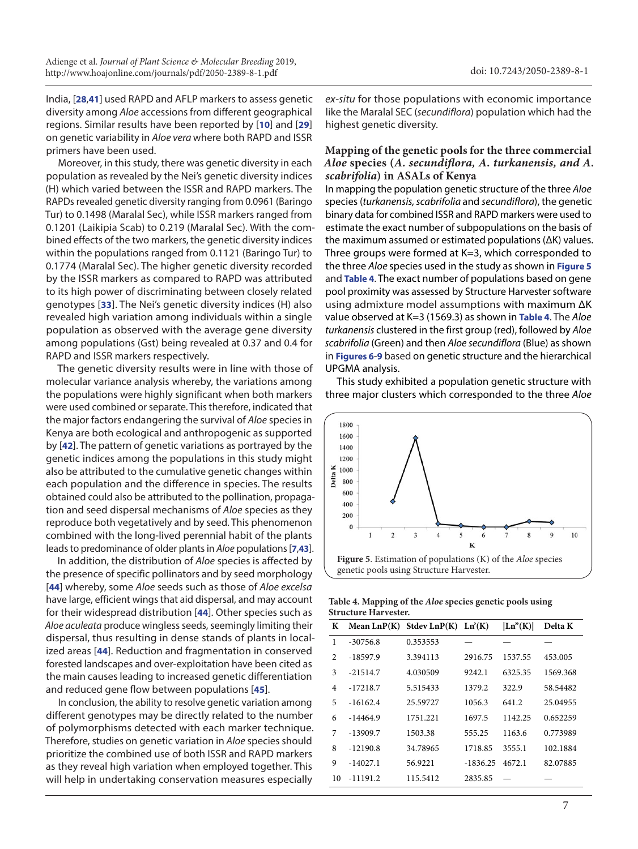India, [**[28](#page-9-12)**,**[41](#page-9-24)**] used RAPD and AFLP markers to assess genetic diversity among *Aloe* accessions from different geographical regions. Similar results have been reported by [**[10](#page-8-9)**] and [**[29](#page-9-13)**] on genetic variability in *Aloe vera* where both RAPD and ISSR primers have been used.

Moreover, in this study, there was genetic diversity in each population as revealed by the Nei's genetic diversity indices (H) which varied between the ISSR and RAPD markers. The RAPDs revealed genetic diversity ranging from 0.0961 (Baringo Tur) to 0.1498 (Maralal Sec), while ISSR markers ranged from 0.1201 (Laikipia Scab) to 0.219 (Maralal Sec). With the combined effects of the two markers, the genetic diversity indices within the populations ranged from 0.1121 (Baringo Tur) to 0.1774 (Maralal Sec). The higher genetic diversity recorded by the ISSR markers as compared to RAPD was attributed to its high power of discriminating between closely related genotypes [**[33](#page-9-17)**]. The Nei's genetic diversity indices (H) also revealed high variation among individuals within a single population as observed with the average gene diversity among populations (Gst) being revealed at 0.37 and 0.4 for RAPD and ISSR markers respectively.

The genetic diversity results were in line with those of molecular variance analysis whereby, the variations among the populations were highly significant when both markers were used combined or separate. This therefore, indicated that the major factors endangering the survival of *Aloe* species in Kenya are both ecological and anthropogenic as supported by [**[42](#page-9-25)**]. The pattern of genetic variations as portrayed by the genetic indices among the populations in this study might also be attributed to the cumulative genetic changes within each population and the difference in species. The results obtained could also be attributed to the pollination, propagation and seed dispersal mechanisms of *Aloe* species as they reproduce both vegetatively and by seed. This phenomenon combined with the long-lived perennial habit of the plants leads to predominance of older plants in *Aloe* populations [**[7](#page-8-6)**,**[43](#page-9-26)**].

 In addition, the distribution of *Aloe* species is affected by the presence of specific pollinators and by seed morphology [**[44](#page-9-27)**] whereby, some *Aloe* seeds such as those of *Aloe excelsa* have large, efficient wings that aid dispersal, and may account for their widespread distribution [**[44](#page-9-27)**]. Other species such as *Aloe aculeata* produce wingless seeds, seemingly limiting their dispersal, thus resulting in dense stands of plants in localized areas [**[44](#page-9-27)**]. Reduction and fragmentation in conserved forested landscapes and over-exploitation have been cited as the main causes leading to increased genetic differentiation and reduced gene flow between populations [**[45](#page-9-28)**].

In conclusion, the ability to resolve genetic variation among different genotypes may be directly related to the number of polymorphisms detected with each marker technique. Therefore, studies on genetic variation in *Aloe* species should prioritize the combined use of both ISSR and RAPD markers as they reveal high variation when employed together. This will help in undertaking conservation measures especially

*ex-situ* for those populations with economic importance like the Maralal SEC (*secundiflora*) population which had the highest genetic diversity.

#### **Mapping of the genetic pools for the three commercial**  *Aloe* **species (***A. secundiflora, A. turkanensis, and A. scabrifolia***) in ASALs of Kenya**

In mapping the population genetic structure of the three *Aloe* species (*turkanensis, scabrifolia* and *secundiflora*), the genetic binary data for combined ISSR and RAPD markers were used to estimate the exact number of subpopulations on the basis of the maximum assumed or estimated populations (ΔK) values. Three groups were formed at K=3, which corresponded to the three *Aloe* species used in the study as shown in **Figure 5** and **Table 4**. The exact number of populations based on gene pool proximity was assessed by Structure Harvester software using admixture model assumptions with maximum ΔK value observed at K=3 (1569.3) as shown in **Table 4**. The *Aloe turkanensis* clustered in the first group (red), followed by *Aloe scabrifolia* (Green) and then *Aloe secundiflora* (Blue) as shown in **[Figures 6](#page-7-0)**-**[9](#page-7-0)** based on genetic structure and the hierarchical UPGMA analysis.

This study exhibited a population genetic structure with three major clusters which corresponded to the three *Aloe*



**Table 4. Mapping of the** *Aloe* **species genetic pools using Structure Harvester.**

| K                             | Mean $LnP(K)$ | Stdev $LnP(K)$ $Ln'(K)$ |            | Ln <sup>9</sup> (K) | Delta K  |  |
|-------------------------------|---------------|-------------------------|------------|---------------------|----------|--|
| 1                             | $-30756.8$    | 0.353553                |            |                     |          |  |
| $\mathfrak{D}_{\mathfrak{p}}$ | -18597.9      | 3.394113                | 2916.75    | 1537.55             | 453.005  |  |
| 3                             | $-21514.7$    | 4.030509                | 9242.1     | 6325.35             | 1569.368 |  |
| $\overline{4}$                | -17218.7      | 5.515433                | 1379.2     | 322.9               | 58.54482 |  |
| 5                             | $-16162.4$    | 25.59727                | 1056.3     | 641.2               | 25.04955 |  |
| 6                             | $-14464.9$    | 1751.221                | 1697.5     | 1142.25             | 0.652259 |  |
| 7                             | $-13909.7$    | 1503.38                 | 555.25     | 1163.6              | 0.773989 |  |
| 8                             | $-12190.8$    | 34.78965                | 1718.85    | 3555.1              | 102.1884 |  |
| 9                             | $-14027.1$    | 56.9221                 | $-1836.25$ | 4672.1              | 82.07885 |  |
| 10                            | $-11191.2$    | 115.5412                | 2835.85    |                     |          |  |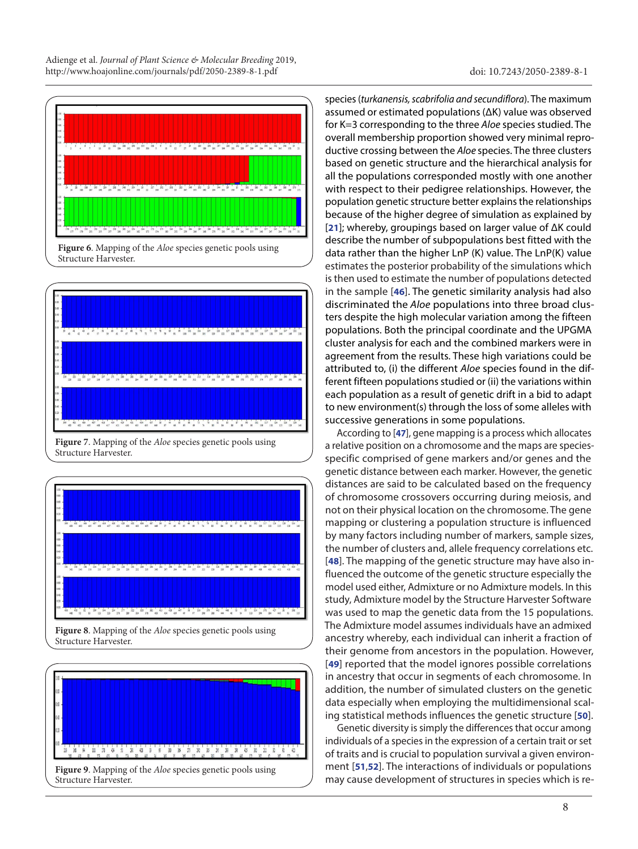<span id="page-7-0"></span>



Structure Harvester.



**Figure 8**. Mapping of the *Aloe* species genetic pools using Structure Harvester.



species (*turkanensis, scabrifolia and secundiflora*). The maximum assumed or estimated populations (ΔK) value was observed for K=3 corresponding to the three *Aloe* species studied. The overall membership proportion showed very minimal reproductive crossing between the *Aloe* species. The three clusters based on genetic structure and the hierarchical analysis for all the populations corresponded mostly with one another with respect to their pedigree relationships. However, the population genetic structure better explains the relationships because of the higher degree of simulation as explained by [**[21](#page-9-5)**]; whereby, groupings based on larger value of ΔK could describe the number of subpopulations best fitted with the data rather than the higher LnP (K) value. The LnP(K) value estimates the posterior probability of the simulations which is then used to estimate the number of populations detected in the sample [**[46](#page-9-29)**]. The genetic similarity analysis had also discriminated the *Aloe* populations into three broad clusters despite the high molecular variation among the fifteen populations. Both the principal coordinate and the UPGMA cluster analysis for each and the combined markers were in agreement from the results. These high variations could be attributed to, (i) the different *Aloe* species found in the different fifteen populations studied or (ii) the variations within each population as a result of genetic drift in a bid to adapt to new environment(s) through the loss of some alleles with successive generations in some populations.

According to [**[47](#page-9-30)**], gene mapping is a process which allocates a relative position on a chromosome and the maps are speciesspecific comprised of gene markers and/or genes and the genetic distance between each marker. However, the genetic distances are said to be calculated based on the frequency of chromosome crossovers occurring during meiosis, and not on their physical location on the chromosome. The gene mapping or clustering a population structure is influenced by many factors including number of markers, sample sizes, the number of clusters and, allele frequency correlations etc. [**[48](#page-9-31)**]. The mapping of the genetic structure may have also influenced the outcome of the genetic structure especially the model used either, Admixture or no Admixture models. In this study, Admixture model by the Structure Harvester Software was used to map the genetic data from the 15 populations. The Admixture model assumes individuals have an admixed ancestry whereby, each individual can inherit a fraction of their genome from ancestors in the population. However, [**[49](#page-9-32)**] reported that the model ignores possible correlations in ancestry that occur in segments of each chromosome. In addition, the number of simulated clusters on the genetic data especially when employing the multidimensional scaling statistical methods influences the genetic structure [**[50](#page-9-33)**].

Genetic diversity is simply the differences that occur among individuals of a species in the expression of a certain trait or set of traits and is crucial to population survival a given environment [**[51](#page-9-34)**,**[52](#page-9-35)**]. The interactions of individuals or populations may cause development of structures in species which is re-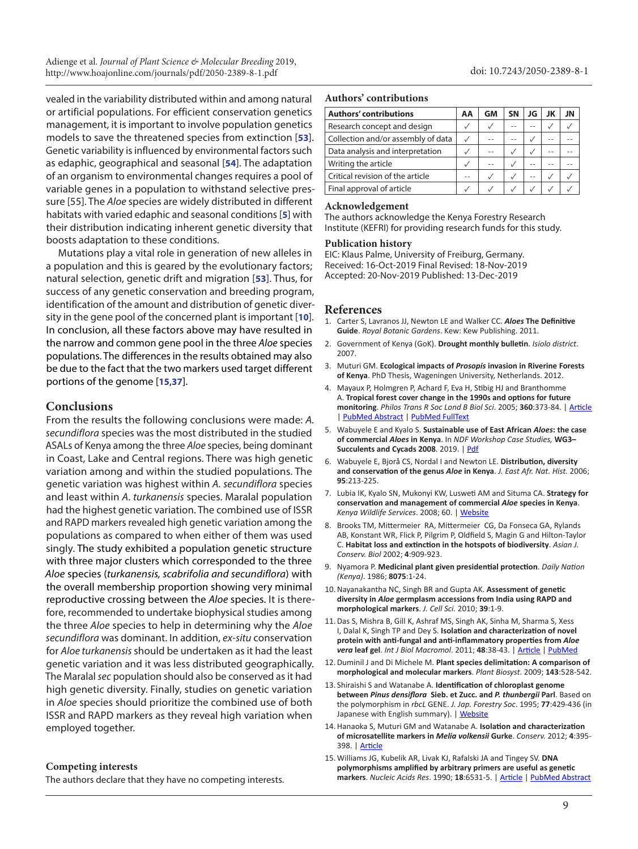Adienge et al. *Journal of Plant Science & Molecular Breeding* 2019, <http://www.hoajonline.com/journals/pdf/2050-2389-8-1.pdf>

vealed in the variability distributed within and among natural or artificial populations. For efficient conservation genetics management, it is important to involve population genetics models to save the threatened species from extinction [**[53](#page-9-36)**]. Genetic variability is influenced by environmental factors such as edaphic, geographical and seasonal [**[54](#page-9-37)**]. The adaptation of an organism to environmental changes requires a pool of variable genes in a population to withstand selective pressure [55]. The *Aloe* species are widely distributed in different habitats with varied edaphic and seasonal conditions [**[5](#page-8-4)**] with their distribution indicating inherent genetic diversity that boosts adaptation to these conditions.

Mutations play a vital role in generation of new alleles in a population and this is geared by the evolutionary factors; natural selection, genetic drift and migration [**[53](#page-9-36)**]. Thus, for success of any genetic conservation and breeding program, identification of the amount and distribution of genetic diversity in the gene pool of the concerned plant is important [**[10](#page-8-9)**]. In conclusion, all these factors above may have resulted in the narrow and common gene pool in the three *Aloe* species populations. The differences in the results obtained may also be due to the fact that the two markers used target different portions of the genome [**[15](#page-8-14)**,**[37](#page-9-20)**].

#### **Conclusions**

From the results the following conclusions were made: *A. secundiflora* species was the most distributed in the studied ASALs of Kenya among the three *Aloe* species, being dominant in Coast, Lake and Central regions. There was high genetic variation among and within the studied populations. The genetic variation was highest within *A. secundiflora* species and least within *A*. *turkanensis* species. Maralal population had the highest genetic variation. The combined use of ISSR and RAPD markers revealed high genetic variation among the populations as compared to when either of them was used singly. The study exhibited a population genetic structure with three major clusters which corresponded to the three *Aloe* species (*turkanensis, scabrifolia and secundiflora*) with the overall membership proportion showing very minimal reproductive crossing between the *Aloe* species. It is therefore, recommended to undertake biophysical studies among the three *Aloe* species to help in determining why the *Aloe secundiflora* was dominant. In addition, *ex-situ* conservation for *Aloe turkanensis* should be undertaken as it had the least genetic variation and it was less distributed geographically. The Maralal *sec* population should also be conserved as it had high genetic diversity. Finally, studies on genetic variation in *Aloe* species should prioritize the combined use of both ISSR and RAPD markers as they reveal high variation when employed together.

#### **Competing interests**

The authors declare that they have no competing interests.

#### **Authors' contributions**

| <b>Authors' contributions</b>      | AA  | <b>GM</b> | SΝ | JG | JK | JN |
|------------------------------------|-----|-----------|----|----|----|----|
| Research concept and design        |     |           | -- |    |    |    |
| Collection and/or assembly of data |     |           |    |    |    |    |
| Data analysis and interpretation   |     |           |    |    |    |    |
| Writing the article                |     |           |    |    |    |    |
| Critical revision of the article   | - - |           |    | -- |    |    |
| Final approval of article          |     |           |    |    |    |    |

#### **Acknowledgement**

The authors acknowledge the Kenya Forestry Research Institute (KEFRI) for providing research funds for this study.

#### **Publication history**

EIC: Klaus Palme, University of Freiburg, Germany. Received: 16-Oct-2019 Final Revised: 18-Nov-2019 Accepted: 20-Nov-2019 Published: 13-Dec-2019

#### **References**

- <span id="page-8-0"></span>1. Carter S, Lavranos JJ, Newton LE and Walker CC. *Aloes* **The Definitive Guide**. *Royal Botanic Gardens*. Kew: Kew Publishing. 2011.
- <span id="page-8-1"></span>2. Government of Kenya (GoK). **Drought monthly bulletin**. *Isiolo district*. 2007.
- <span id="page-8-2"></span>3. Muturi GM. **Ecological impacts of** *Prosopis* **invasion in Riverine Forests of Kenya**. PhD Thesis, Wageningen University, Netherlands. 2012.
- <span id="page-8-3"></span>4. Mayaux P, Holmgren P, Achard F, Eva H, Stibig HJ and Branthomme A. **Tropical forest cover change in the 1990s and options for future monitoring**. *Philos Trans R Soc Lond B Biol Sci*. 2005; **360**:373-84. | [Article](https://dx.doi.org/10.1098%2Frstb.2004.1590) | [PubMed Abstract](https://www.ncbi.nlm.nih.gov/pubmed/15814351?dopt=Citation) | [PubMed FullText](https://www.ncbi.nlm.nih.gov/pmc/articles/PMC1569459/)
- <span id="page-8-4"></span>5. Wabuyele E and Kyalo S. **Sustainable use of East African** *Aloes***: the case of commercial** *Aloes* **in Kenya**. In *NDF Workshop Case Studies,* **WG3– Succulents and Cycads 2008**. 2019. | [Pdf](https://cites.unia.es/file.php/1/files/WG3-CS1.pdf)
- <span id="page-8-5"></span>6. Wabuyele E, Bjorå CS, Nordal I and Newton LE. **Distribution, diversity and conservation of the genus** *Aloe* **in Kenya**. *J. East Afr. Nat. Hist.* 2006; **95**:213-225.
- <span id="page-8-6"></span>7. Lubia IK, Kyalo SN, Mukonyi KW, Lusweti AM and Situma CA. **Strategy for conservation and management of commercial** *Aloe* **species in Kenya**. *Kenya Wildlife Services*. 2008; 60. | [Website](http://www.kws.go.ke/download/file/fid/1405)
- <span id="page-8-7"></span>8. Brooks TM, Mittermeier RA, Mittermeier CG, Da Fonseca GA, Rylands AB, Konstant WR, Flick P, Pilgrim P, Oldfield S, Magin G and Hilton-Taylor C. **Habitat loss and extinction in the hotspots of biodiversity**. *Asian J. Conserv. Biol* 2002; **4**:909-923.
- <span id="page-8-8"></span>9. Nyamora P. **Medicinal plant given presidential protection**. *Daily Nation (Kenya)*. 1986; **8075**:1-24.
- <span id="page-8-9"></span>10.Nayanakantha NC, Singh BR and Gupta AK. **Assessment of genetic diversity in** *Aloe* **germplasm accessions from India using RAPD and morphological markers**. *J. Cell Sci.* 2010; **39**:1-9.
- <span id="page-8-10"></span>11.Das S, Mishra B, Gill K, Ashraf MS, Singh AK, Sinha M, Sharma S, Xess I, Dalal K, Singh TP and Dey S. **Isolation and characterization of novel protein with anti-fungal and anti-inflammatory properties from** *Aloe vera* **leaf gel**. *Int J Biol Macromol*. 2011; **48**:38-43. | [Article](https://doi.org/10.1016/j.ijbiomac.2010.09.010) | [PubMed](https://www.ncbi.nlm.nih.gov/pubmed/20888359?dopt=Citation)
- <span id="page-8-11"></span>12.Duminil J and Di Michele M. **Plant species delimitation: A comparison of morphological and molecular markers**. *Plant Biosyst*. 2009; **143**:528-542.
- <span id="page-8-12"></span>13. Shiraishi S and Watanabe A. **Identification of chloroplast genome between** *Pinus densiflora* **Sieb. et Zucc. and** *P. thunbergii* **Parl**. Based on the polymorphism in *rbcL* GENE. *J. Jap. Forestry Soc*. 1995; **77**:429-436 (in Japanese with English summary). | [Website](http://agris.fao.org/agris-search/search.do?recordID=JP9606597)
- <span id="page-8-13"></span>14.Hanaoka S, Muturi GM and Watanabe A. **Isolation and characterization of microsatellite markers in** *Melia volkensii* **Gurke**. *Conserv.* 2012; **4**:395- 398. | [Article](https://doi.org/10.1007/s12686-011-9558-5)
- <span id="page-8-14"></span>15. Williams JG, Kubelik AR, Livak KJ, Rafalski JA and Tingey SV. **DNA polymorphisms amplified by arbitrary primers are useful as genetic markers**. *Nucleic Acids Res*. 1990; **18**:6531-5. | [Article](https://dx.doi.org/10.1093%2Fnar%2F18.22.6531) | [PubMed Abstract](https://www.ncbi.nlm.nih.gov/pubmed/1979162?dopt=Citation)